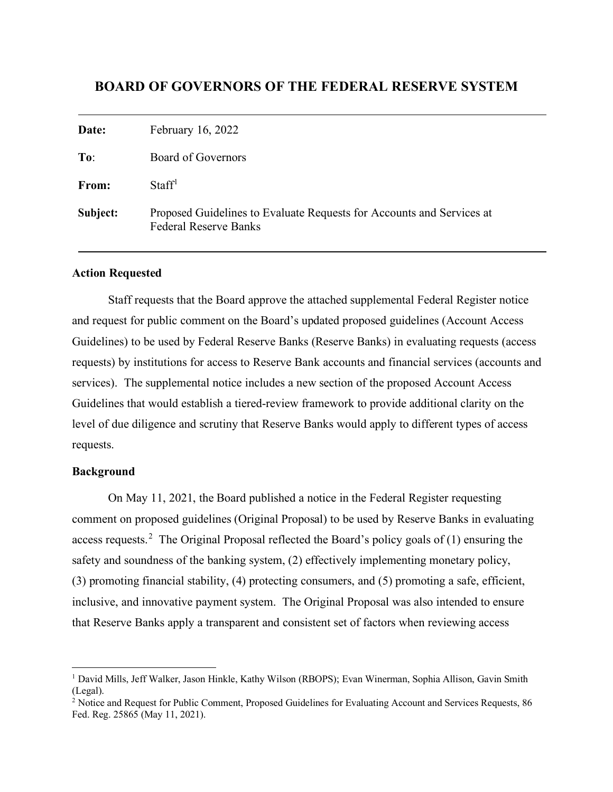# **BOARD OF GOVERNORS OF THE FEDERAL RESERVE SYSTEM**

| Date:    | February 16, 2022                                                                                     |
|----------|-------------------------------------------------------------------------------------------------------|
| To:      | Board of Governors                                                                                    |
| From:    | Staff <sup>1</sup>                                                                                    |
| Subject: | Proposed Guidelines to Evaluate Requests for Accounts and Services at<br><b>Federal Reserve Banks</b> |

#### **Action Requested**

Staff requests that the Board approve the attached supplemental Federal Register notice and request for public comment on the Board's updated proposed guidelines (Account Access Guidelines) to be used by Federal Reserve Banks (Reserve Banks) in evaluating requests (access requests) by institutions for access to Reserve Bank accounts and financial services (accounts and services). The supplemental notice includes a new section of the proposed Account Access Guidelines that would establish a tiered-review framework to provide additional clarity on the level of due diligence and scrutiny that Reserve Banks would apply to different types of access requests.

#### **Background**

On May 11, 2021, the Board published a notice in the Federal Register requesting comment on proposed guidelines (Original Proposal) to be used by Reserve Banks in evaluating access requests.<sup>[2](#page-0-1)</sup> The Original Proposal reflected the Board's policy goals of (1) ensuring the safety and soundness of the banking system, (2) effectively implementing monetary policy, (3) promoting financial stability, (4) protecting consumers, and (5) promoting a safe, efficient, inclusive, and innovative payment system. The Original Proposal was also intended to ensure that Reserve Banks apply a transparent and consistent set of factors when reviewing access

<span id="page-0-0"></span><sup>1</sup> David Mills, Jeff Walker, Jason Hinkle, Kathy Wilson (RBOPS); Evan Winerman, Sophia Allison, Gavin Smith (Legal).

<span id="page-0-1"></span><sup>&</sup>lt;sup>2</sup> Notice and Request for Public Comment, Proposed Guidelines for Evaluating Account and Services Requests, 86 Fed. Reg. 25865 (May 11, 2021).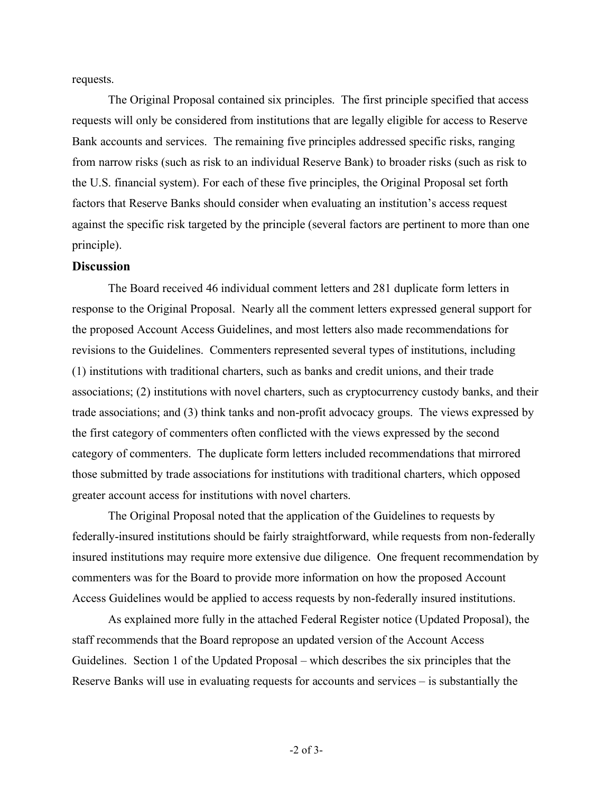requests.

The Original Proposal contained six principles. The first principle specified that access requests will only be considered from institutions that are legally eligible for access to Reserve Bank accounts and services. The remaining five principles addressed specific risks, ranging from narrow risks (such as risk to an individual Reserve Bank) to broader risks (such as risk to the U.S. financial system). For each of these five principles, the Original Proposal set forth factors that Reserve Banks should consider when evaluating an institution's access request against the specific risk targeted by the principle (several factors are pertinent to more than one principle).

### **Discussion**

The Board received 46 individual comment letters and 281 duplicate form letters in response to the Original Proposal. Nearly all the comment letters expressed general support for the proposed Account Access Guidelines, and most letters also made recommendations for revisions to the Guidelines. Commenters represented several types of institutions, including (1) institutions with traditional charters, such as banks and credit unions, and their trade associations; (2) institutions with novel charters, such as cryptocurrency custody banks, and their trade associations; and (3) think tanks and non-profit advocacy groups. The views expressed by the first category of commenters often conflicted with the views expressed by the second category of commenters. The duplicate form letters included recommendations that mirrored those submitted by trade associations for institutions with traditional charters, which opposed greater account access for institutions with novel charters.

The Original Proposal noted that the application of the Guidelines to requests by federally-insured institutions should be fairly straightforward, while requests from non-federally insured institutions may require more extensive due diligence. One frequent recommendation by commenters was for the Board to provide more information on how the proposed Account Access Guidelines would be applied to access requests by non-federally insured institutions.

As explained more fully in the attached Federal Register notice (Updated Proposal), the staff recommends that the Board repropose an updated version of the Account Access Guidelines. Section 1 of the Updated Proposal – which describes the six principles that the Reserve Banks will use in evaluating requests for accounts and services – is substantially the